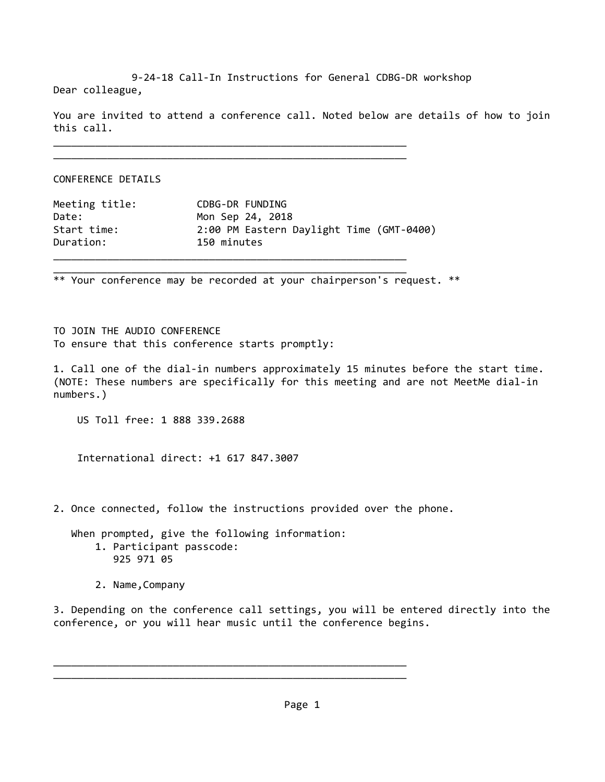9‐24‐18 Call‐In Instructions for General CDBG‐DR workshop Dear colleague,

You are invited to attend a conference call. Noted below are details of how to join this call.

\_\_\_\_\_\_\_\_\_\_\_\_\_\_\_\_\_\_\_\_\_\_\_\_\_\_\_\_\_\_\_\_\_\_\_\_\_\_\_\_\_\_\_\_\_\_\_\_\_\_\_\_\_\_\_\_\_\_\_

CONFERENCE DETAILS

| Meeting title: | CDBG-DR FUNDING                          |
|----------------|------------------------------------------|
| Date:          | Mon Sep 24, 2018                         |
| Start time:    | 2:00 PM Eastern Daylight Time (GMT-0400) |
| Duration:      | 150 minutes                              |
|                |                                          |

\_\_\_\_\_\_\_\_\_\_\_\_\_\_\_\_\_\_\_\_\_\_\_\_\_\_\_\_\_\_\_\_\_\_\_\_\_\_\_\_\_\_\_\_\_\_\_\_\_\_\_\_\_\_\_\_\_\_\_

\_\_\_\_\_\_\_\_\_\_\_\_\_\_\_\_\_\_\_\_\_\_\_\_\_\_\_\_\_\_\_\_\_\_\_\_\_\_\_\_\_\_\_\_\_\_\_\_\_\_\_\_\_\_\_\_\_\_\_

\*\* Your conference may be recorded at your chairperson's request. \*\*

TO JOIN THE AUDIO CONFERENCE To ensure that this conference starts promptly:

1. Call one of the dial-in numbers approximately 15 minutes before the start time. (NOTE: These numbers are specifically for this meeting and are not MeetMe dial‐in numbers.)

US Toll free: 1 888 339.2688

International direct: +1 617 847.3007

2. Once connected, follow the instructions provided over the phone.

 When prompted, give the following information: 1. Participant passcode: 925 971 05

\_\_\_\_\_\_\_\_\_\_\_\_\_\_\_\_\_\_\_\_\_\_\_\_\_\_\_\_\_\_\_\_\_\_\_\_\_\_\_\_\_\_\_\_\_\_\_\_\_\_\_\_\_\_\_\_\_\_\_ \_\_\_\_\_\_\_\_\_\_\_\_\_\_\_\_\_\_\_\_\_\_\_\_\_\_\_\_\_\_\_\_\_\_\_\_\_\_\_\_\_\_\_\_\_\_\_\_\_\_\_\_\_\_\_\_\_\_\_

2. Name,Company

3. Depending on the conference call settings, you will be entered directly into the conference, or you will hear music until the conference begins.